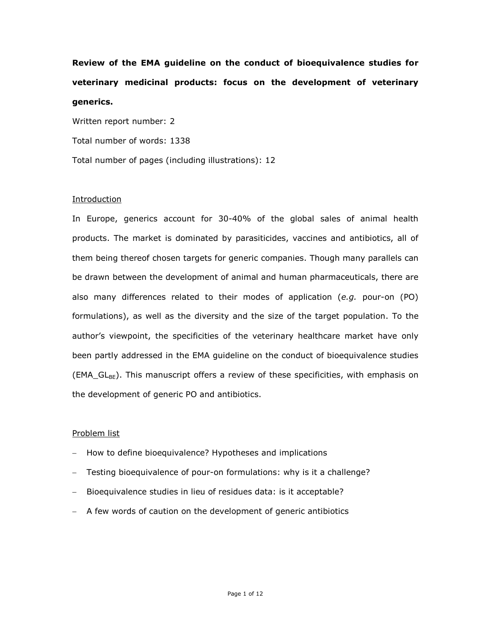**Review of the EMA guideline on the conduct of bioequivalence studies for veterinary medicinal products: focus on the development of veterinary generics.** 

Written report number: 2 Total number of words: 1338 Total number of pages (including illustrations): 12

# Introduction

In Europe, generics account for 30-40% of the global sales of animal health products. The market is dominated by parasiticides, vaccines and antibiotics, all of them being thereof chosen targets for generic companies. Though many parallels can be drawn between the development of animal and human pharmaceuticals, there are also many differences related to their modes of application (*e.g.* pour-on (PO) formulations), as well as the diversity and the size of the target population. To the author's viewpoint, the specificities of the veterinary healthcare market have only been partly addressed in the EMA guideline on the conduct of bioequivalence studies  $(EMA_GL_{BE})$ . This manuscript offers a review of these specificities, with emphasis on the development of generic PO and antibiotics.

## Problem list

- How to define bioequivalence? Hypotheses and implications
- Testing bioequivalence of pour-on formulations: why is it a challenge?
- Bioequivalence studies in lieu of residues data: is it acceptable?
- A few words of caution on the development of generic antibiotics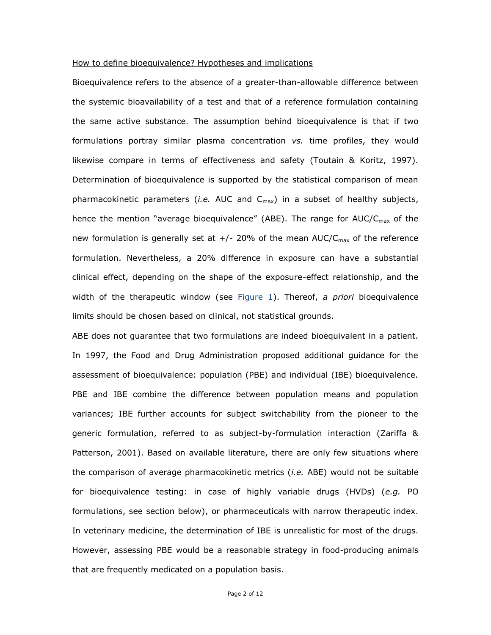### How to define bioequivalence? Hypotheses and implications

Bioequivalence refers to the absence of a greater-than-allowable difference between the systemic bioavailability of a test and that of a reference formulation containing the same active substance. The assumption behind bioequivalence is that if two formulations portray similar plasma concentration *vs.* time profiles, they would likewise compare in terms of effectiveness and safety (Toutain & Koritz, 1997). Determination of bioequivalence is supported by the statistical comparison of mean pharmacokinetic parameters *(i.e.* AUC and  $C_{\text{max}}$ ) in a subset of healthy subjects, hence the mention "average bioequivalence" (ABE). The range for  $AUC/C<sub>max</sub>$  of the new formulation is generally set at  $+/-$  20% of the mean AUC/C<sub>max</sub> of the reference formulation. Nevertheless, a 20% difference in exposure can have a substantial clinical effect, depending on the shape of the exposure-effect relationship, and the width of the therapeutic window (see Figure 1). Thereof, *a priori* bioequivalence limits should be chosen based on clinical, not statistical grounds.

ABE does not guarantee that two formulations are indeed bioequivalent in a patient. In 1997, the Food and Drug Administration proposed additional guidance for the assessment of bioequivalence: population (PBE) and individual (IBE) bioequivalence. PBE and IBE combine the difference between population means and population variances; IBE further accounts for subject switchability from the pioneer to the generic formulation, referred to as subject-by-formulation interaction (Zariffa & Patterson, 2001). Based on available literature, there are only few situations where the comparison of average pharmacokinetic metrics (*i.e.* ABE) would not be suitable for bioequivalence testing: in case of highly variable drugs (HVDs) (*e.g.* PO formulations, see section below), or pharmaceuticals with narrow therapeutic index. In veterinary medicine, the determination of IBE is unrealistic for most of the drugs. However, assessing PBE would be a reasonable strategy in food-producing animals that are frequently medicated on a population basis.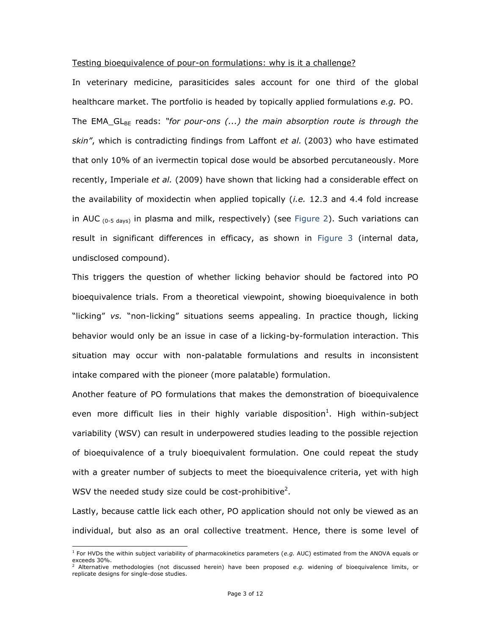## Testing bioequivalence of pour-on formulations: why is it a challenge?

In veterinary medicine, parasiticides sales account for one third of the global healthcare market. The portfolio is headed by topically applied formulations *e.g.* PO. The EMA\_GL<sub>BE</sub> reads: "*for pour-ons (...)* the main absorption route is through the *skin"*, which is contradicting findings from Laffont *et al.* (2003) who have estimated that only 10% of an ivermectin topical dose would be absorbed percutaneously. More recently, Imperiale *et al.* (2009) have shown that licking had a considerable effect on the availability of moxidectin when applied topically (*i.e.* 12.3 and 4.4 fold increase in AUC  $_{(0-5 \text{ days})}$  in plasma and milk, respectively) (see Figure 2). Such variations can result in significant differences in efficacy, as shown in Figure 3 (internal data, undisclosed compound).

This triggers the question of whether licking behavior should be factored into PO bioequivalence trials. From a theoretical viewpoint, showing bioequivalence in both "licking" *vs.* "non-licking" situations seems appealing. In practice though, licking behavior would only be an issue in case of a licking-by-formulation interaction. This situation may occur with non-palatable formulations and results in inconsistent intake compared with the pioneer (more palatable) formulation.

Another feature of PO formulations that makes the demonstration of bioequivalence even more difficult lies in their highly variable disposition<sup>1</sup>. High within-subject variability (WSV) can result in underpowered studies leading to the possible rejection of bioequivalence of a truly bioequivalent formulation. One could repeat the study with a greater number of subjects to meet the bioequivalence criteria, yet with high WSV the needed study size could be cost-prohibitive<sup>2</sup>.

Lastly, because cattle lick each other, PO application should not only be viewed as an individual, but also as an oral collective treatment. Hence, there is some level of

 $\overline{a}$ 

<sup>1</sup> For HVDs the within subject variability of pharmacokinetics parameters (*e.g.* AUC) estimated from the ANOVA equals or exceeds 30%.

<sup>2</sup> Alternative methodologies (not discussed herein) have been proposed *e.g.* widening of bioequivalence limits, or replicate designs for single-dose studies.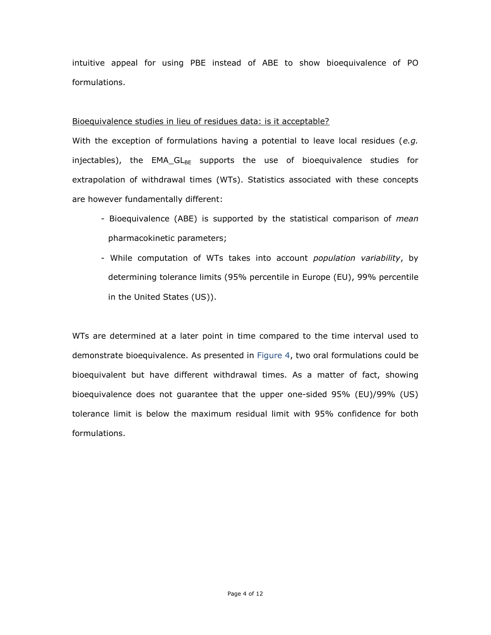intuitive appeal for using PBE instead of ABE to show bioequivalence of PO formulations.

# Bioequivalence studies in lieu of residues data: is it acceptable?

With the exception of formulations having a potential to leave local residues (*e.g.* injectables), the EMA\_GL<sub>BE</sub> supports the use of bioequivalence studies for extrapolation of withdrawal times (WTs). Statistics associated with these concepts are however fundamentally different:

- Bioequivalence (ABE) is supported by the statistical comparison of *mean* pharmacokinetic parameters;
- While computation of WTs takes into account *population variability*, by determining tolerance limits (95% percentile in Europe (EU), 99% percentile in the United States (US)).

WTs are determined at a later point in time compared to the time interval used to demonstrate bioequivalence. As presented in Figure 4, two oral formulations could be bioequivalent but have different withdrawal times. As a matter of fact, showing bioequivalence does not guarantee that the upper one-sided 95% (EU)/99% (US) tolerance limit is below the maximum residual limit with 95% confidence for both formulations.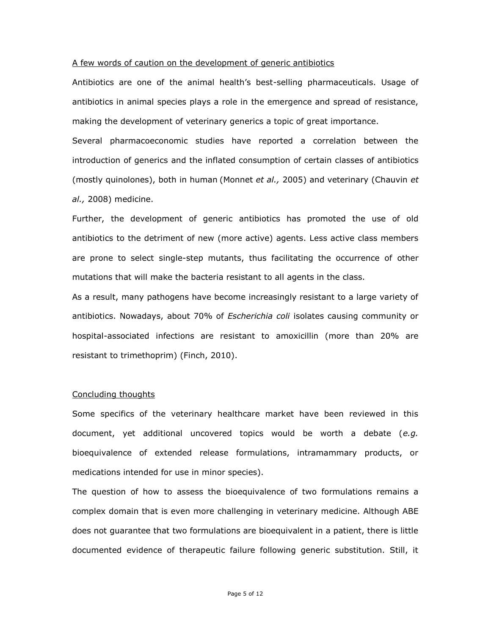### A few words of caution on the development of generic antibiotics

Antibiotics are one of the animal health's best-selling pharmaceuticals. Usage of antibiotics in animal species plays a role in the emergence and spread of resistance, making the development of veterinary generics a topic of great importance.

Several pharmacoeconomic studies have reported a correlation between the introduction of generics and the inflated consumption of certain classes of antibiotics (mostly quinolones), both in human (Monnet *et al.,* 2005) and veterinary (Chauvin *et al.,* 2008) medicine.

Further, the development of generic antibiotics has promoted the use of old antibiotics to the detriment of new (more active) agents. Less active class members are prone to select single-step mutants, thus facilitating the occurrence of other mutations that will make the bacteria resistant to all agents in the class.

As a result, many pathogens have become increasingly resistant to a large variety of antibiotics. Nowadays, about 70% of *Escherichia coli* isolates causing community or hospital-associated infections are resistant to amoxicillin (more than 20% are resistant to trimethoprim) (Finch, 2010).

### Concluding thoughts

Some specifics of the veterinary healthcare market have been reviewed in this document, yet additional uncovered topics would be worth a debate (*e.g.*  bioequivalence of extended release formulations, intramammary products, or medications intended for use in minor species).

The question of how to assess the bioequivalence of two formulations remains a complex domain that is even more challenging in veterinary medicine. Although ABE does not guarantee that two formulations are bioequivalent in a patient, there is little documented evidence of therapeutic failure following generic substitution. Still, it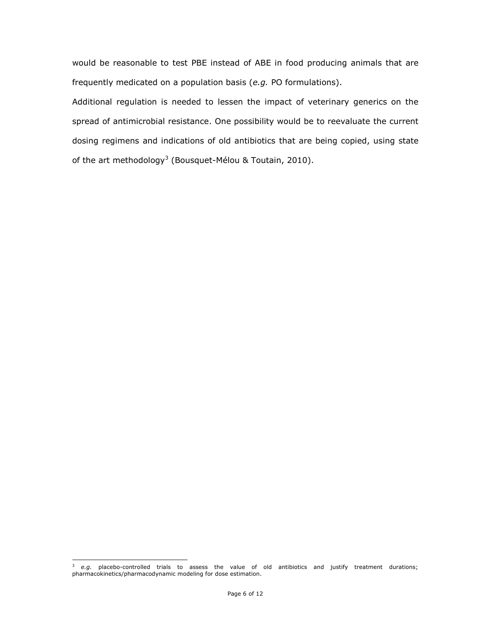would be reasonable to test PBE instead of ABE in food producing animals that are frequently medicated on a population basis (*e.g.* PO formulations).

Additional regulation is needed to lessen the impact of veterinary generics on the spread of antimicrobial resistance. One possibility would be to reevaluate the current dosing regimens and indications of old antibiotics that are being copied, using state of the art methodology<sup>3</sup> (Bousquet-Mélou & Toutain, 2010).

 $\overline{a}$ 

<sup>3</sup> *e.g.* placebo-controlled trials to assess the value of old antibiotics and justify treatment durations; pharmacokinetics/pharmacodynamic modeling for dose estimation.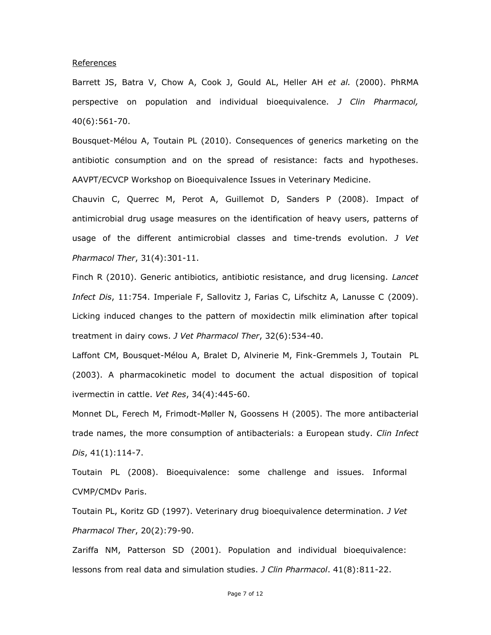### References

Barrett JS, Batra V, Chow A, Cook J, Gould AL, Heller AH *et al.* (2000). PhRMA perspective on population and individual bioequivalence. *J Clin Pharmacol,*  40(6):561-70.

Bousquet-Mélou A, Toutain PL (2010). Consequences of generics marketing on the antibiotic consumption and on the spread of resistance: facts and hypotheses. AAVPT/ECVCP Workshop on Bioequivalence Issues in Veterinary Medicine.

Chauvin C, Querrec M, Perot A, Guillemot D, Sanders P (2008). Impact of antimicrobial drug usage measures on the identification of heavy users, patterns of usage of the different antimicrobial classes and time-trends evolution. *J Vet Pharmacol Ther*, 31(4):301-11.

Finch R (2010). Generic antibiotics, antibiotic resistance, and drug licensing. *Lancet Infect Dis*, 11:754. Imperiale F, Sallovitz J, Farias C, Lifschitz A, Lanusse C (2009). Licking induced changes to the pattern of moxidectin milk elimination after topical treatment in dairy cows. *J Vet Pharmacol Ther*, 32(6):534-40.

Laffont CM, Bousquet-Mélou A, Bralet D, Alvinerie M, Fink-Gremmels J, Toutain PL (2003). A pharmacokinetic model to document the actual disposition of topical ivermectin in cattle. *Vet Res*, 34(4):445-60.

Monnet DL, Ferech M, Frimodt-Møller N, Goossens H (2005). The more antibacterial trade names, the more consumption of antibacterials: a European study. *Clin Infect Dis*, 41(1):114-7.

Toutain PL (2008). Bioequivalence: some challenge and issues. Informal CVMP/CMDv Paris.

Toutain PL, Koritz GD (1997). Veterinary drug bioequivalence determination. *J Vet Pharmacol Ther*, 20(2):79-90.

Zariffa NM, Patterson SD (2001). Population and individual bioequivalence: lessons from real data and simulation studies. *J Clin Pharmacol*. 41(8):811-22.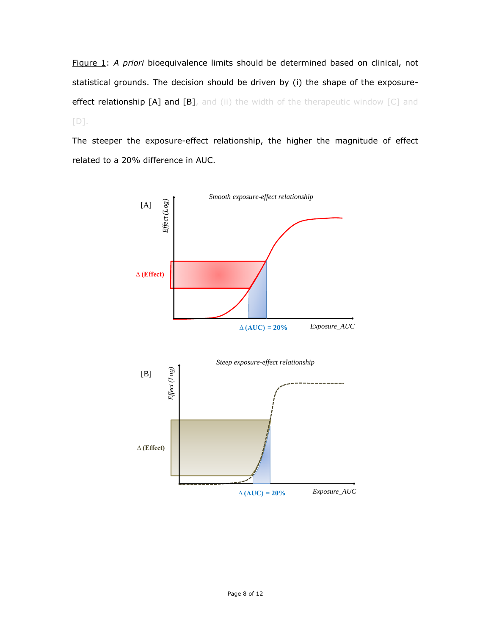Figure 1: *A priori* bioequivalence limits should be determined based on clinical, not statistical grounds. The decision should be driven by (i) the shape of the exposureeffect relationship [A] and [B], and (ii) the width of the therapeutic window [C] and  $[D]$ .

The steeper the exposure-effect relationship, the higher the magnitude of effect related to a 20% difference in AUC.

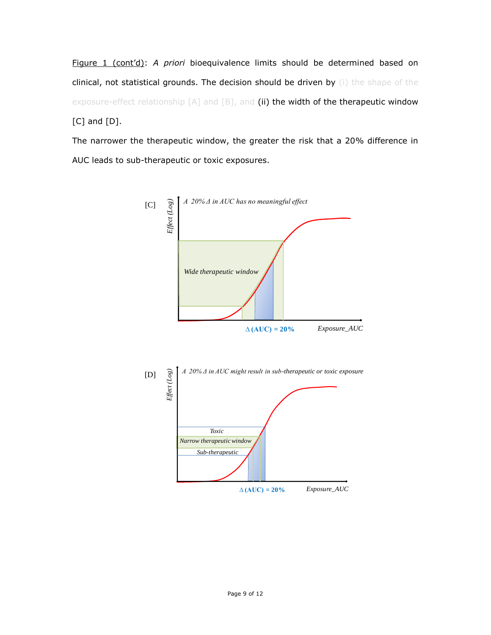Figure 1 (cont'd): *A priori* bioequivalence limits should be determined based on clinical, not statistical grounds. The decision should be driven by (i) the shape of the exposure-effect relationship [A] and [B], and (ii) the width of the therapeutic window [C] and [D].

The narrower the therapeutic window, the greater the risk that a 20% difference in AUC leads to sub-therapeutic or toxic exposures.

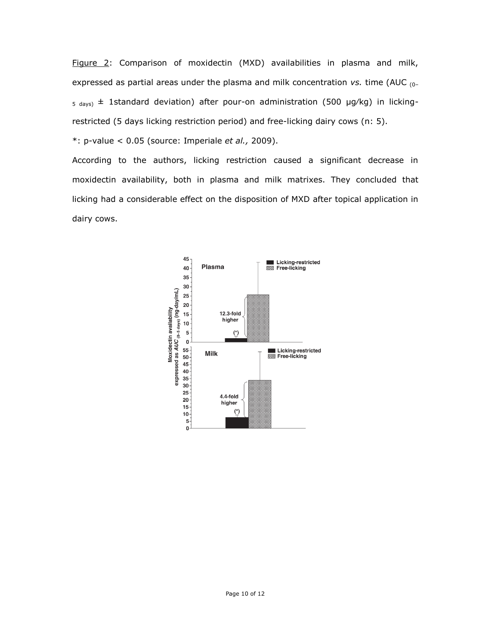Figure 2: Comparison of moxidectin (MXD) availabilities in plasma and milk, expressed as partial areas under the plasma and milk concentration *vs.* time (AUC (0–  $_5$  days)  $\pm$  1standard deviation) after pour-on administration (500 µg/kg) in lickingrestricted (5 days licking restriction period) and free-licking dairy cows (n: 5).

\*: p-value < 0.05 (source: Imperiale *et al.,* 2009).

According to the authors, licking restriction caused a significant decrease in moxidectin availability, both in plasma and milk matrixes. They concluded that licking had a considerable effect on the disposition of MXD after topical application in dairy cows.

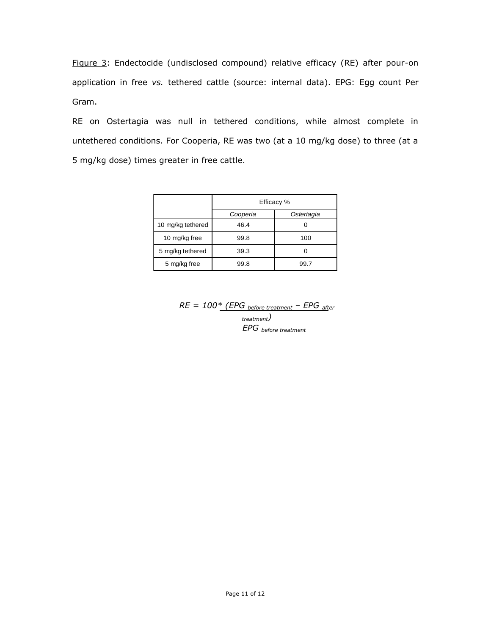Figure 3: Endectocide (undisclosed compound) relative efficacy (RE) after pour-on application in free *vs.* tethered cattle (source: internal data). EPG: Egg count Per Gram.

RE on Ostertagia was null in tethered conditions, while almost complete in untethered conditions. For Cooperia, RE was two (at a 10 mg/kg dose) to three (at a 5 mg/kg dose) times greater in free cattle.

|                   | Efficacy % |            |
|-------------------|------------|------------|
|                   | Cooperia   | Ostertagia |
| 10 mg/kg tethered | 46.4       |            |
| 10 mg/kg free     | 99.8       | 100        |
| 5 mg/kg tethered  | 39.3       |            |
| 5 mg/kg free      | 99.8       | 99.7       |

*RE = 100\* (EPG before treatment – EPG after treatment) EPG before treatment*